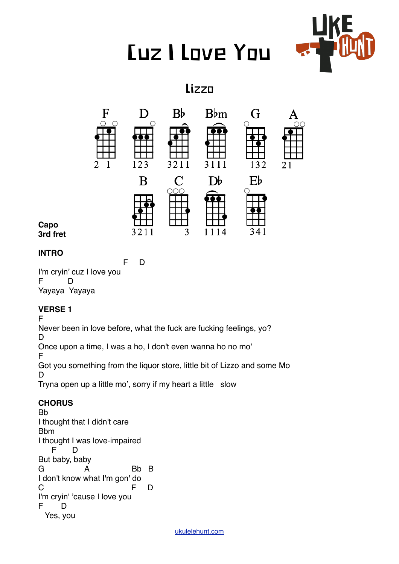# Cuz I Love You



## Lizzo



#### **Capo 3rd fret**

## **INTRO**

 F D I'm cryin' cuz I love you  $F$ Yayaya Yayaya

## **VERSE 1**

F

Never been in love before, what the fuck are fucking feelings, yo?

D Once upon a time, I was a ho, I don't even wanna ho no mo'

F

Got you something from the liquor store, little bit of Lizzo and some Mo D

Tryna open up a little mo', sorry if my heart a little slow

## **CHORUS**

Bb I thought that I didn't care Bbm I thought I was love-impaired F D But baby, baby G A Bb B I don't know what I'm gon' do C F D I'm cryin' 'cause I love you F D Yes, you